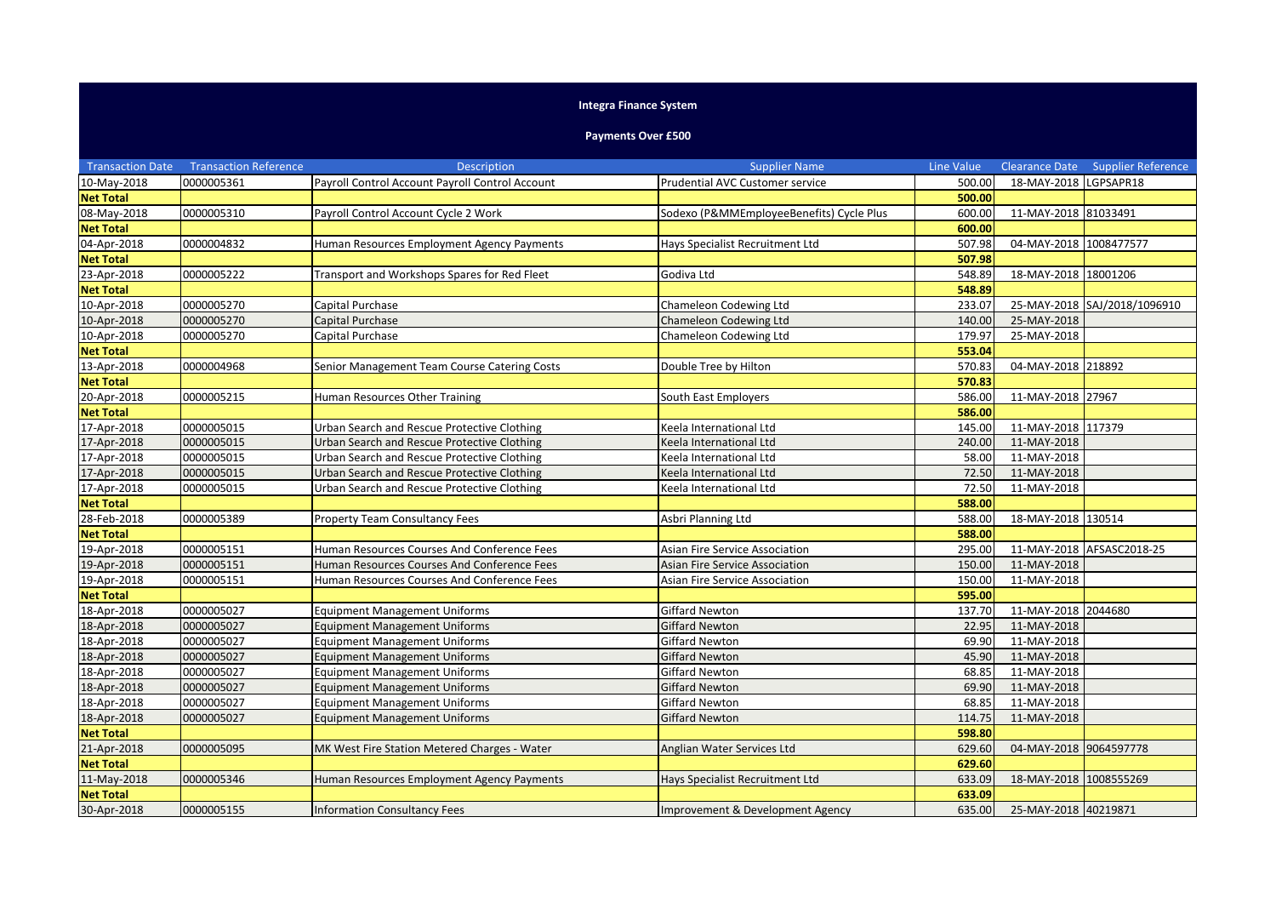## **Integra Finance System**

## **Payments Over £500**

| <b>Transaction Date</b> | <b>Transaction Reference</b> | <b>Description</b>                              | <b>Supplier Name</b>                     | Line Value |                        | Clearance Date Supplier Reference |
|-------------------------|------------------------------|-------------------------------------------------|------------------------------------------|------------|------------------------|-----------------------------------|
| 10-May-2018             | 0000005361                   | Payroll Control Account Payroll Control Account | Prudential AVC Customer service          | 500.00     | 18-MAY-2018            | LGPSAPR18                         |
| <b>Net Total</b>        |                              |                                                 |                                          | 500.00     |                        |                                   |
| 08-May-2018             | 0000005310                   | Payroll Control Account Cycle 2 Work            | Sodexo (P&MMEmployeeBenefits) Cycle Plus | 600.00     | 11-MAY-2018 81033491   |                                   |
| <b>Net Total</b>        |                              |                                                 |                                          | 600.00     |                        |                                   |
| 04-Apr-2018             | 0000004832                   | Human Resources Employment Agency Payments      | Hays Specialist Recruitment Ltd          | 507.98     | 04-MAY-2018            | 1008477577                        |
| <b>Net Total</b>        |                              |                                                 |                                          | 507.98     |                        |                                   |
| 23-Apr-2018             | 0000005222                   | Transport and Workshops Spares for Red Fleet    | Godiva Ltd                               | 548.89     | 18-MAY-2018 18001206   |                                   |
| <b>Net Total</b>        |                              |                                                 |                                          | 548.89     |                        |                                   |
| 10-Apr-2018             | 0000005270                   | Capital Purchase                                | Chameleon Codewing Ltd                   | 233.07     |                        | 25-MAY-2018 SAJ/2018/1096910      |
| 10-Apr-2018             | 0000005270                   | Capital Purchase                                | Chameleon Codewing Ltd                   | 140.00     | 25-MAY-2018            |                                   |
| 10-Apr-2018             | 0000005270                   | Capital Purchase                                | Chameleon Codewing Ltd                   | 179.97     | 25-MAY-2018            |                                   |
| <b>Net Total</b>        |                              |                                                 |                                          | 553.04     |                        |                                   |
| 13-Apr-2018             | 0000004968                   | Senior Management Team Course Catering Costs    | Double Tree by Hilton                    | 570.83     | 04-MAY-2018            | 218892                            |
| <b>Net Total</b>        |                              |                                                 |                                          | 570.83     |                        |                                   |
| 20-Apr-2018             | 0000005215                   | Human Resources Other Training                  | South East Employers                     | 586.00     | 11-MAY-2018            | 27967                             |
| <b>Net Total</b>        |                              |                                                 |                                          | 586.00     |                        |                                   |
| 17-Apr-2018             | 0000005015                   | Urban Search and Rescue Protective Clothing     | Keela International Ltd                  | 145.00     | 11-MAY-2018            | 117379                            |
| 17-Apr-2018             | 0000005015                   | Urban Search and Rescue Protective Clothing     | Keela International Ltd                  | 240.00     | 11-MAY-2018            |                                   |
| 17-Apr-2018             | 0000005015                   | Urban Search and Rescue Protective Clothing     | Keela International Ltd                  | 58.00      | 11-MAY-2018            |                                   |
| 17-Apr-2018             | 0000005015                   | Urban Search and Rescue Protective Clothing     | Keela International Ltd                  | 72.50      | 11-MAY-2018            |                                   |
| 17-Apr-2018             | 0000005015                   | Urban Search and Rescue Protective Clothing     | Keela International Ltd                  | 72.50      | 11-MAY-2018            |                                   |
| <b>Net Total</b>        |                              |                                                 |                                          | 588.00     |                        |                                   |
| 28-Feb-2018             | 0000005389                   | <b>Property Team Consultancy Fees</b>           | Asbri Planning Ltd                       | 588.00     | 18-MAY-2018 130514     |                                   |
| <b>Net Total</b>        |                              |                                                 |                                          | 588.00     |                        |                                   |
| 19-Apr-2018             | 0000005151                   | Human Resources Courses And Conference Fees     | Asian Fire Service Association           | 295.00     | 11-MAY-2018            | AFSASC2018-25                     |
| 19-Apr-2018             | 0000005151                   | Human Resources Courses And Conference Fees     | Asian Fire Service Association           | 150.00     | 11-MAY-2018            |                                   |
| 19-Apr-2018             | 0000005151                   | Human Resources Courses And Conference Fees     | Asian Fire Service Association           | 150.00     | 11-MAY-2018            |                                   |
| <b>Net Total</b>        |                              |                                                 |                                          | 595.00     |                        |                                   |
| 18-Apr-2018             | 0000005027                   | <b>Equipment Management Uniforms</b>            | <b>Giffard Newton</b>                    | 137.70     | 11-MAY-2018 2044680    |                                   |
| 18-Apr-2018             | 0000005027                   | <b>Equipment Management Uniforms</b>            | <b>Giffard Newton</b>                    | 22.95      | 11-MAY-2018            |                                   |
| 18-Apr-2018             | 0000005027                   | <b>Equipment Management Uniforms</b>            | <b>Giffard Newton</b>                    | 69.90      | 11-MAY-2018            |                                   |
| 18-Apr-2018             | 0000005027                   | <b>Equipment Management Uniforms</b>            | <b>Giffard Newton</b>                    | 45.90      | 11-MAY-2018            |                                   |
| 18-Apr-2018             | 0000005027                   | <b>Equipment Management Uniforms</b>            | <b>Giffard Newton</b>                    | 68.85      | 11-MAY-2018            |                                   |
| 18-Apr-2018             | 0000005027                   | <b>Equipment Management Uniforms</b>            | <b>Giffard Newton</b>                    | 69.90      | 11-MAY-2018            |                                   |
| 18-Apr-2018             | 0000005027                   | <b>Equipment Management Uniforms</b>            | <b>Giffard Newton</b>                    | 68.85      | 11-MAY-2018            |                                   |
| 18-Apr-2018             | 0000005027                   | <b>Equipment Management Uniforms</b>            | <b>Giffard Newton</b>                    | 114.75     | 11-MAY-2018            |                                   |
| <b>Net Total</b>        |                              |                                                 |                                          | 598.80     |                        |                                   |
| 21-Apr-2018             | 0000005095                   | MK West Fire Station Metered Charges - Water    | Anglian Water Services Ltd               | 629.60     | 04-MAY-2018 9064597778 |                                   |
| <b>Net Total</b>        |                              |                                                 |                                          | 629.60     |                        |                                   |
| 11-May-2018             | 0000005346                   | Human Resources Employment Agency Payments      | Hays Specialist Recruitment Ltd          | 633.09     | 18-MAY-2018            | 1008555269                        |
| <b>Net Total</b>        |                              |                                                 |                                          | 633.09     |                        |                                   |
| 30-Apr-2018             | 0000005155                   | <b>Information Consultancy Fees</b>             | Improvement & Development Agency         | 635.00     | 25-MAY-2018 40219871   |                                   |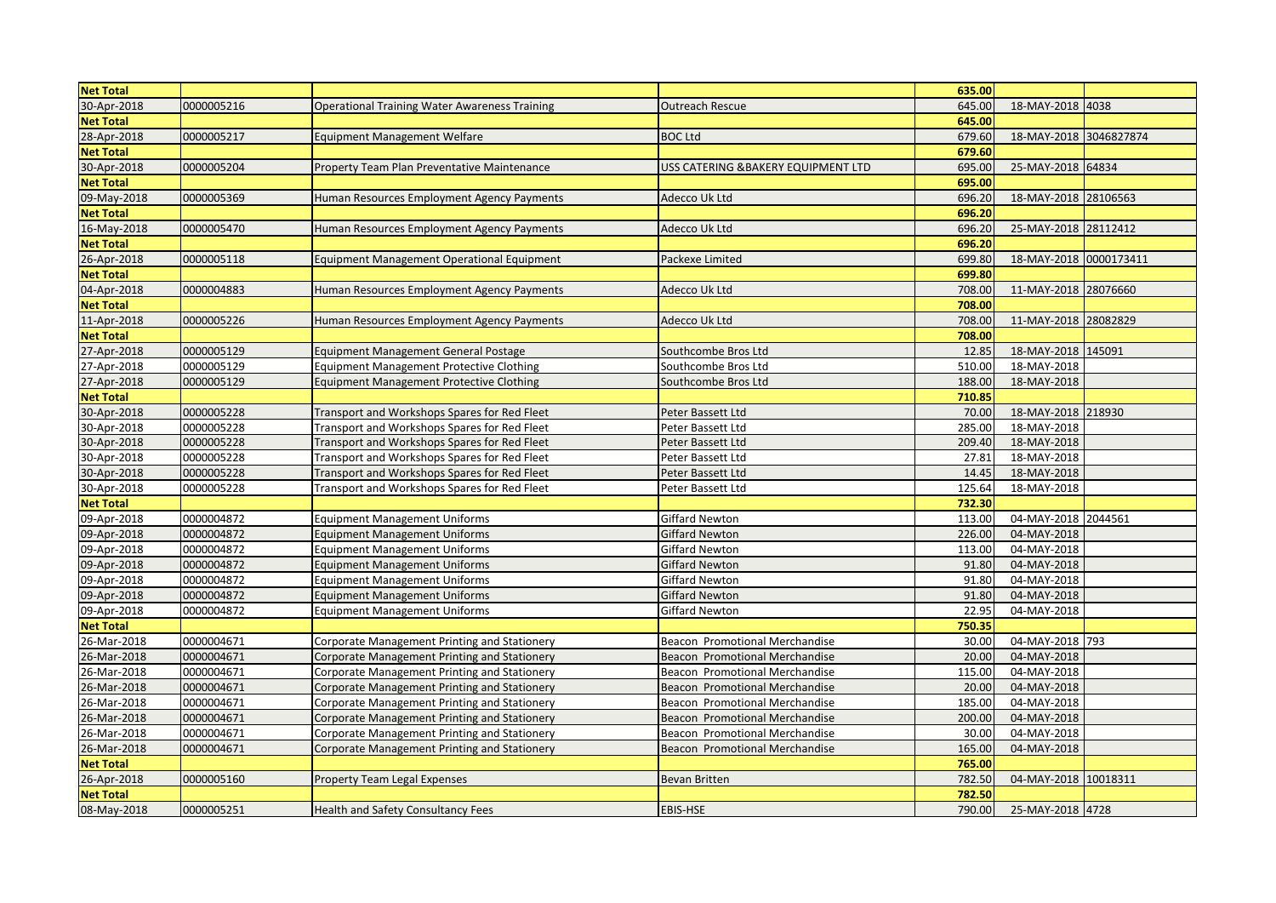| <b>Net Total</b> |            |                                                      |                                     | 635.00 |                        |        |
|------------------|------------|------------------------------------------------------|-------------------------------------|--------|------------------------|--------|
| 30-Apr-2018      | 0000005216 | <b>Operational Training Water Awareness Training</b> | <b>Outreach Rescue</b>              | 645.00 | 18-MAY-2018            | 4038   |
| <b>Net Total</b> |            |                                                      |                                     | 645.00 |                        |        |
| 28-Apr-2018      | 0000005217 | <b>Equipment Management Welfare</b>                  | <b>BOC Ltd</b>                      | 679.60 | 18-MAY-2018 3046827874 |        |
| <b>Net Total</b> |            |                                                      |                                     | 679.60 |                        |        |
| 30-Apr-2018      | 0000005204 | Property Team Plan Preventative Maintenance          | USS CATERING & BAKERY EQUIPMENT LTD | 695.00 | 25-MAY-2018 64834      |        |
| <b>Net Total</b> |            |                                                      |                                     | 695.00 |                        |        |
| 09-May-2018      | 0000005369 | Human Resources Employment Agency Payments           | Adecco Uk Ltd                       | 696.20 | 18-MAY-2018 28106563   |        |
| <b>Net Total</b> |            |                                                      |                                     | 696.20 |                        |        |
| 16-May-2018      | 0000005470 | Human Resources Employment Agency Payments           | Adecco Uk Ltd                       | 696.20 | 25-MAY-2018 28112412   |        |
| <b>Net Total</b> |            |                                                      |                                     | 696.20 |                        |        |
| 26-Apr-2018      | 0000005118 | <b>Equipment Management Operational Equipment</b>    | Packexe Limited                     | 699.80 | 18-MAY-2018 0000173411 |        |
| <b>Net Total</b> |            |                                                      |                                     | 699.80 |                        |        |
| 04-Apr-2018      | 0000004883 | Human Resources Employment Agency Payments           | Adecco Uk Ltd                       | 708.00 | 11-MAY-2018 28076660   |        |
| <b>Net Total</b> |            |                                                      |                                     | 708.00 |                        |        |
| 11-Apr-2018      | 0000005226 | Human Resources Employment Agency Payments           | Adecco Uk Ltd                       | 708.00 | 11-MAY-2018 28082829   |        |
| <b>Net Total</b> |            |                                                      |                                     | 708.00 |                        |        |
| 27-Apr-2018      | 0000005129 | <b>Equipment Management General Postage</b>          | Southcombe Bros Ltd                 | 12.85  | 18-MAY-2018            | 145091 |
| 27-Apr-2018      | 0000005129 | <b>Equipment Management Protective Clothing</b>      | Southcombe Bros Ltd                 | 510.00 | 18-MAY-2018            |        |
| 27-Apr-2018      | 0000005129 | <b>Equipment Management Protective Clothing</b>      | Southcombe Bros Ltd                 | 188.00 | 18-MAY-2018            |        |
| <b>Net Total</b> |            |                                                      |                                     | 710.85 |                        |        |
| 30-Apr-2018      | 0000005228 | Transport and Workshops Spares for Red Fleet         | Peter Bassett Ltd                   | 70.00  | 18-MAY-2018 218930     |        |
| 30-Apr-2018      | 0000005228 | Transport and Workshops Spares for Red Fleet         | Peter Bassett Ltd                   | 285.00 | 18-MAY-2018            |        |
| 30-Apr-2018      | 0000005228 | Transport and Workshops Spares for Red Fleet         | Peter Bassett Ltd                   | 209.40 | 18-MAY-2018            |        |
| 30-Apr-2018      | 0000005228 | Transport and Workshops Spares for Red Fleet         | Peter Bassett Ltd                   | 27.81  | 18-MAY-2018            |        |
| 30-Apr-2018      | 0000005228 | Transport and Workshops Spares for Red Fleet         | Peter Bassett Ltd                   | 14.45  | 18-MAY-2018            |        |
| 30-Apr-2018      | 0000005228 | Transport and Workshops Spares for Red Fleet         | Peter Bassett Ltd                   | 125.64 | 18-MAY-2018            |        |
| <b>Net Total</b> |            |                                                      |                                     | 732.30 |                        |        |
| 09-Apr-2018      | 0000004872 | <b>Equipment Management Uniforms</b>                 | <b>Giffard Newton</b>               | 113.00 | 04-MAY-2018 2044561    |        |
| 09-Apr-2018      | 0000004872 | <b>Equipment Management Uniforms</b>                 | <b>Giffard Newton</b>               | 226.00 | 04-MAY-2018            |        |
| 09-Apr-2018      | 0000004872 | <b>Equipment Management Uniforms</b>                 | Giffard Newton                      | 113.00 | 04-MAY-2018            |        |
| 09-Apr-2018      | 0000004872 | <b>Equipment Management Uniforms</b>                 | <b>Giffard Newton</b>               | 91.80  | 04-MAY-2018            |        |
| 09-Apr-2018      | 0000004872 | <b>Equipment Management Uniforms</b>                 | <b>Giffard Newton</b>               | 91.80  | 04-MAY-2018            |        |
| 09-Apr-2018      | 0000004872 | <b>Equipment Management Uniforms</b>                 | <b>Giffard Newton</b>               | 91.80  | 04-MAY-2018            |        |
| 09-Apr-2018      | 0000004872 | <b>Equipment Management Uniforms</b>                 | Giffard Newton                      | 22.95  | 04-MAY-2018            |        |
| <b>Net Total</b> |            |                                                      |                                     | 750.35 |                        |        |
| 26-Mar-2018      | 0000004671 | Corporate Management Printing and Stationery         | Beacon Promotional Merchandise      | 30.00  | 04-MAY-2018 793        |        |
| 26-Mar-2018      | 0000004671 | Corporate Management Printing and Stationery         | Beacon Promotional Merchandise      | 20.00  | 04-MAY-2018            |        |
| 26-Mar-2018      | 0000004671 | Corporate Management Printing and Stationery         | Beacon Promotional Merchandise      | 115.00 | 04-MAY-2018            |        |
| 26-Mar-2018      | 0000004671 | Corporate Management Printing and Stationery         | Beacon Promotional Merchandise      | 20.00  | 04-MAY-2018            |        |
| 26-Mar-2018      | 0000004671 | Corporate Management Printing and Stationery         | Beacon Promotional Merchandise      | 185.00 | 04-MAY-2018            |        |
| 26-Mar-2018      | 0000004671 | Corporate Management Printing and Stationery         | Beacon Promotional Merchandise      | 200.00 | 04-MAY-2018            |        |
| 26-Mar-2018      | 0000004671 | Corporate Management Printing and Stationery         | Beacon Promotional Merchandise      | 30.00  | 04-MAY-2018            |        |
| 26-Mar-2018      | 0000004671 | Corporate Management Printing and Stationery         | Beacon Promotional Merchandise      | 165.00 | 04-MAY-2018            |        |
| <b>Net Total</b> |            |                                                      |                                     | 765.00 |                        |        |
| 26-Apr-2018      | 0000005160 | <b>Property Team Legal Expenses</b>                  | Bevan Britten                       | 782.50 | 04-MAY-2018 10018311   |        |
| <b>Net Total</b> |            |                                                      |                                     | 782.50 |                        |        |
| 08-May-2018      | 0000005251 | <b>Health and Safety Consultancy Fees</b>            | EBIS-HSE                            | 790.00 | 25-MAY-2018 4728       |        |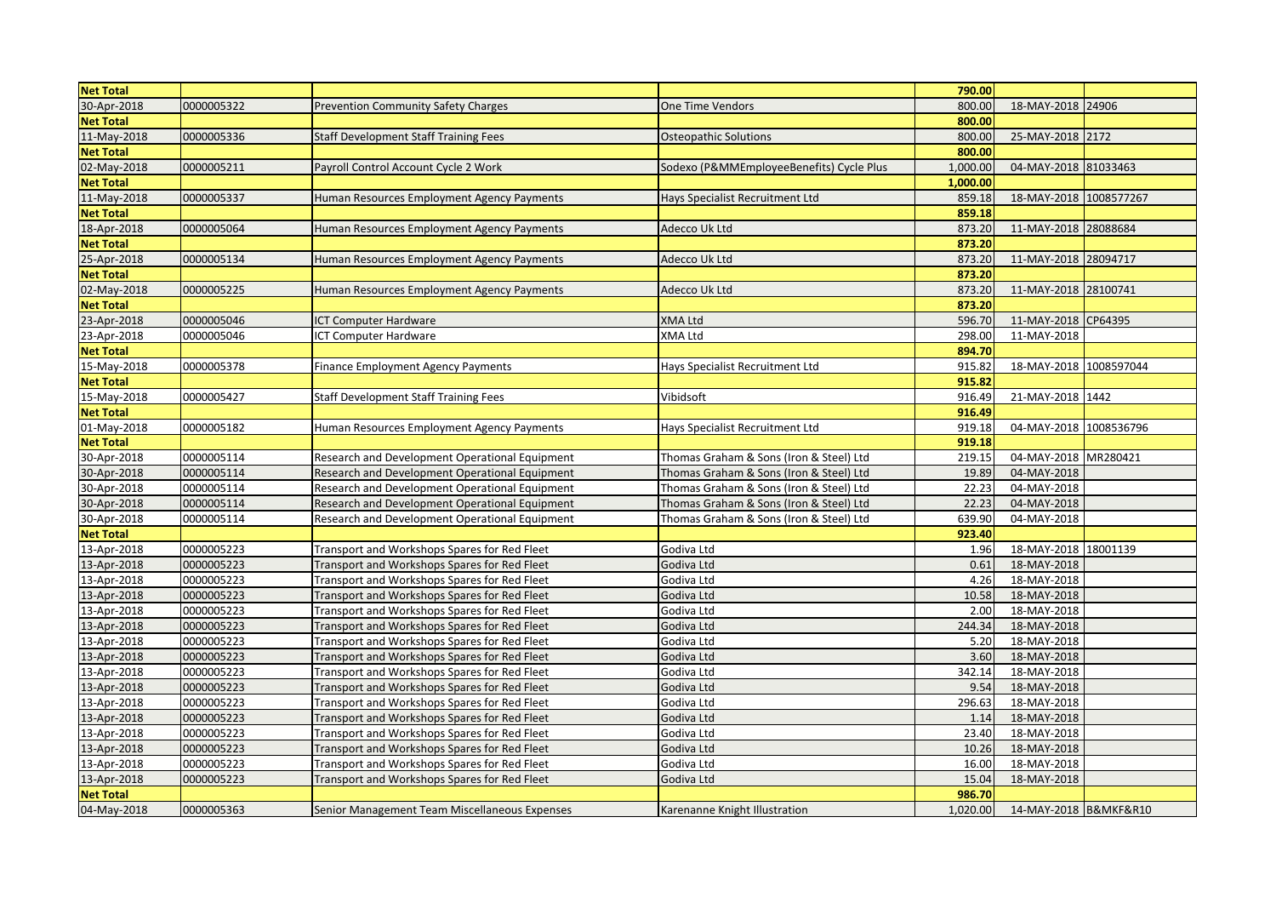| <b>Net Total</b> |            |                                                |                                          | 790.00   |                        |          |
|------------------|------------|------------------------------------------------|------------------------------------------|----------|------------------------|----------|
| 30-Apr-2018      | 0000005322 | <b>Prevention Community Safety Charges</b>     | One Time Vendors                         | 800.00   | 18-MAY-2018            | 24906    |
| <b>Net Total</b> |            |                                                |                                          | 800.00   |                        |          |
| 11-May-2018      | 0000005336 | <b>Staff Development Staff Training Fees</b>   | <b>Osteopathic Solutions</b>             | 800.00   | 25-MAY-2018 2172       |          |
| <b>Net Total</b> |            |                                                |                                          | 800.00   |                        |          |
| 02-May-2018      | 0000005211 | Payroll Control Account Cycle 2 Work           | Sodexo (P&MMEmployeeBenefits) Cycle Plus | 1,000.00 | 04-MAY-2018 81033463   |          |
| <b>Net Total</b> |            |                                                |                                          | 1,000.00 |                        |          |
| 11-May-2018      | 0000005337 | Human Resources Employment Agency Payments     | Hays Specialist Recruitment Ltd          | 859.18   | 18-MAY-2018 1008577267 |          |
| <b>Net Total</b> |            |                                                |                                          | 859.18   |                        |          |
| 18-Apr-2018      | 0000005064 | Human Resources Employment Agency Payments     | Adecco Uk Ltd                            | 873.20   | 11-MAY-2018 28088684   |          |
| <b>Net Total</b> |            |                                                |                                          | 873.20   |                        |          |
| 25-Apr-2018      | 0000005134 | Human Resources Employment Agency Payments     | Adecco Uk Ltd                            | 873.20   | 11-MAY-2018 28094717   |          |
| <b>Net Total</b> |            |                                                |                                          | 873.20   |                        |          |
| 02-May-2018      | 0000005225 | Human Resources Employment Agency Payments     | Adecco Uk Ltd                            | 873.20   | 11-MAY-2018 28100741   |          |
| <b>Net Total</b> |            |                                                |                                          | 873.20   |                        |          |
| 23-Apr-2018      | 0000005046 | ICT Computer Hardware                          | <b>XMA Ltd</b>                           | 596.70   | 11-MAY-2018            | CP64395  |
| 23-Apr-2018      | 0000005046 | <b>ICT Computer Hardware</b>                   | <b>XMA Ltd</b>                           | 298.00   | 11-MAY-2018            |          |
| <b>Net Total</b> |            |                                                |                                          | 894.70   |                        |          |
| 15-May-2018      | 0000005378 | Finance Employment Agency Payments             | Hays Specialist Recruitment Ltd          | 915.82   | 18-MAY-2018 1008597044 |          |
| <b>Net Total</b> |            |                                                |                                          | 915.82   |                        |          |
| 15-May-2018      | 0000005427 | <b>Staff Development Staff Training Fees</b>   | Vibidsoft                                | 916.49   | 21-MAY-2018 1442       |          |
| <b>Net Total</b> |            |                                                |                                          | 916.49   |                        |          |
| 01-May-2018      | 0000005182 | Human Resources Employment Agency Payments     | Hays Specialist Recruitment Ltd          | 919.18   | 04-MAY-2018 1008536796 |          |
| <b>Net Total</b> |            |                                                |                                          | 919.18   |                        |          |
| 30-Apr-2018      | 0000005114 | Research and Development Operational Equipment | Thomas Graham & Sons (Iron & Steel) Ltd  | 219.15   | 04-MAY-2018 MR280421   |          |
| 30-Apr-2018      | 0000005114 | Research and Development Operational Equipment | Thomas Graham & Sons (Iron & Steel) Ltd  | 19.89    | 04-MAY-2018            |          |
| 30-Apr-2018      | 0000005114 | Research and Development Operational Equipment | Thomas Graham & Sons (Iron & Steel) Ltd  | 22.23    | 04-MAY-2018            |          |
| 30-Apr-2018      | 0000005114 | Research and Development Operational Equipment | Thomas Graham & Sons (Iron & Steel) Ltd  | 22.23    | 04-MAY-2018            |          |
| 30-Apr-2018      | 0000005114 | Research and Development Operational Equipment | Thomas Graham & Sons (Iron & Steel) Ltd  | 639.90   | 04-MAY-2018            |          |
| <b>Net Total</b> |            |                                                |                                          | 923.40   |                        |          |
| 13-Apr-2018      | 0000005223 | Transport and Workshops Spares for Red Fleet   | Godiva Ltd                               | 1.96     | 18-MAY-2018            | 18001139 |
| 13-Apr-2018      | 0000005223 | Transport and Workshops Spares for Red Fleet   | Godiva Ltd                               | 0.61     | 18-MAY-2018            |          |
| 13-Apr-2018      | 0000005223 | Transport and Workshops Spares for Red Fleet   | Godiva Ltd                               | 4.26     | 18-MAY-2018            |          |
| 13-Apr-2018      | 0000005223 | Transport and Workshops Spares for Red Fleet   | Godiva Ltd                               | 10.58    | 18-MAY-2018            |          |
| 13-Apr-2018      | 0000005223 | Transport and Workshops Spares for Red Fleet   | Godiva Ltd                               | 2.00     | 18-MAY-2018            |          |
| 13-Apr-2018      | 0000005223 | Transport and Workshops Spares for Red Fleet   | Godiva Ltd                               | 244.34   | 18-MAY-2018            |          |
| 13-Apr-2018      | 0000005223 | Transport and Workshops Spares for Red Fleet   | Godiva Ltd                               | 5.20     | 18-MAY-2018            |          |
| 13-Apr-2018      | 0000005223 | Transport and Workshops Spares for Red Fleet   | Godiva Ltd                               | 3.60     | 18-MAY-2018            |          |
| 13-Apr-2018      | 0000005223 | Transport and Workshops Spares for Red Fleet   | Godiva Ltd                               | 342.14   | 18-MAY-2018            |          |
| 13-Apr-2018      | 0000005223 | Transport and Workshops Spares for Red Fleet   | Godiva Ltd                               | 9.54     | 18-MAY-2018            |          |
| 13-Apr-2018      | 0000005223 | Transport and Workshops Spares for Red Fleet   | Godiva Ltd                               | 296.63   | 18-MAY-2018            |          |
| 13-Apr-2018      | 0000005223 | Transport and Workshops Spares for Red Fleet   | Godiva Ltd                               | 1.14     | 18-MAY-2018            |          |
| 13-Apr-2018      | 0000005223 | Transport and Workshops Spares for Red Fleet   | Godiva Ltd                               | 23.40    | 18-MAY-2018            |          |
| 13-Apr-2018      | 0000005223 | Transport and Workshops Spares for Red Fleet   | Godiva Ltd                               | 10.26    | 18-MAY-2018            |          |
| 13-Apr-2018      | 0000005223 | Transport and Workshops Spares for Red Fleet   | Godiva Ltd                               | 16.00    | 18-MAY-2018            |          |
| 13-Apr-2018      | 0000005223 | Transport and Workshops Spares for Red Fleet   | Godiva Ltd                               | 15.04    | 18-MAY-2018            |          |
| <b>Net Total</b> |            |                                                |                                          | 986.70   |                        |          |
| 04-May-2018      | 0000005363 | Senior Management Team Miscellaneous Expenses  | Karenanne Knight Illustration            | 1,020.00 | 14-MAY-2018 B&MKF&R10  |          |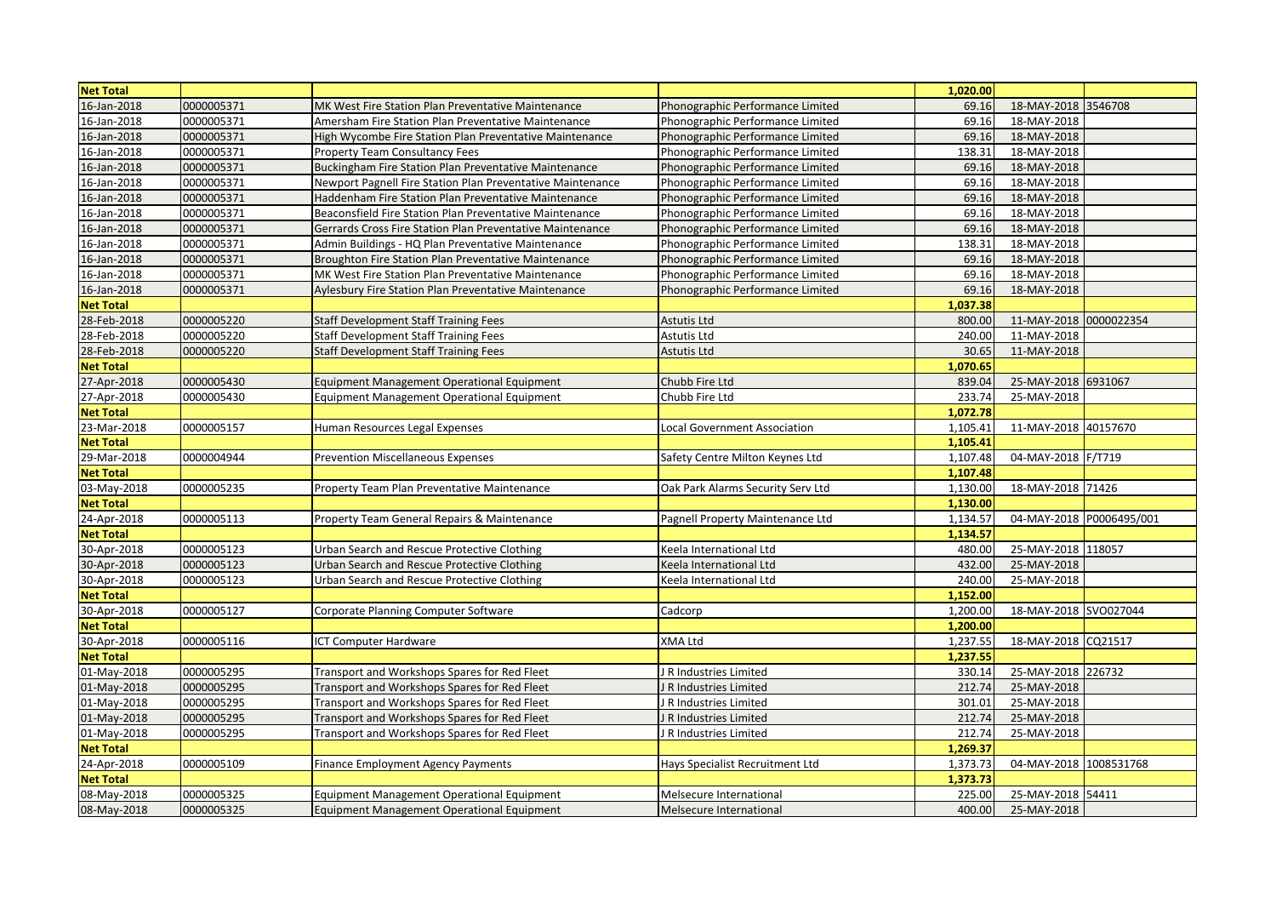| <b>Net Total</b> |            |                                                            |                                   | 1,020.00 |                        |        |
|------------------|------------|------------------------------------------------------------|-----------------------------------|----------|------------------------|--------|
| 16-Jan-2018      | 0000005371 | MK West Fire Station Plan Preventative Maintenance         | Phonographic Performance Limited  | 69.16    | 18-MAY-2018 3546708    |        |
| 16-Jan-2018      | 0000005371 | Amersham Fire Station Plan Preventative Maintenance        | Phonographic Performance Limited  | 69.16    | 18-MAY-2018            |        |
| 16-Jan-2018      | 0000005371 | High Wycombe Fire Station Plan Preventative Maintenance    | Phonographic Performance Limited  | 69.16    | 18-MAY-2018            |        |
| 16-Jan-2018      | 0000005371 | <b>Property Team Consultancy Fees</b>                      | Phonographic Performance Limited  | 138.31   | 18-MAY-2018            |        |
| 16-Jan-2018      | 0000005371 | Buckingham Fire Station Plan Preventative Maintenance      | Phonographic Performance Limited  | 69.16    | 18-MAY-2018            |        |
| 16-Jan-2018      | 0000005371 | Newport Pagnell Fire Station Plan Preventative Maintenance | Phonographic Performance Limited  | 69.16    | 18-MAY-2018            |        |
| 16-Jan-2018      | 0000005371 | Haddenham Fire Station Plan Preventative Maintenance       | Phonographic Performance Limited  | 69.16    | 18-MAY-2018            |        |
| 16-Jan-2018      | 0000005371 | Beaconsfield Fire Station Plan Preventative Maintenance    | Phonographic Performance Limited  | 69.16    | 18-MAY-2018            |        |
| 16-Jan-2018      | 0000005371 | Gerrards Cross Fire Station Plan Preventative Maintenance  | Phonographic Performance Limited  | 69.16    | 18-MAY-2018            |        |
| 16-Jan-2018      | 0000005371 | Admin Buildings - HQ Plan Preventative Maintenance         | Phonographic Performance Limited  | 138.31   | 18-MAY-2018            |        |
| 16-Jan-2018      | 0000005371 | Broughton Fire Station Plan Preventative Maintenance       | Phonographic Performance Limited  | 69.16    | 18-MAY-2018            |        |
| 16-Jan-2018      | 0000005371 | MK West Fire Station Plan Preventative Maintenance         | Phonographic Performance Limited  | 69.16    | 18-MAY-2018            |        |
| 16-Jan-2018      | 0000005371 | Aylesbury Fire Station Plan Preventative Maintenance       | Phonographic Performance Limited  | 69.16    | 18-MAY-2018            |        |
| <b>Net Total</b> |            |                                                            |                                   | 1,037.38 |                        |        |
| 28-Feb-2018      | 0000005220 | <b>Staff Development Staff Training Fees</b>               | Astutis Ltd                       | 800.00   | 11-MAY-2018 0000022354 |        |
| 28-Feb-2018      | 0000005220 | <b>Staff Development Staff Training Fees</b>               | Astutis Ltd                       | 240.00   | 11-MAY-2018            |        |
| 28-Feb-2018      | 0000005220 | <b>Staff Development Staff Training Fees</b>               | Astutis Ltd                       | 30.65    | 11-MAY-2018            |        |
| <b>Net Total</b> |            |                                                            |                                   | 1,070.65 |                        |        |
| 27-Apr-2018      | 0000005430 | Equipment Management Operational Equipment                 | Chubb Fire Ltd                    | 839.04   | 25-MAY-2018 6931067    |        |
| 27-Apr-2018      | 0000005430 | <b>Equipment Management Operational Equipment</b>          | Chubb Fire Ltd                    | 233.74   | 25-MAY-2018            |        |
| <b>Net Total</b> |            |                                                            |                                   | 1,072.78 |                        |        |
| 23-Mar-2018      | 0000005157 | Human Resources Legal Expenses                             | Local Government Association      | 1,105.41 | 11-MAY-2018 40157670   |        |
| <b>Net Total</b> |            |                                                            |                                   | 1,105.41 |                        |        |
| 29-Mar-2018      | 0000004944 | <b>Prevention Miscellaneous Expenses</b>                   | Safety Centre Milton Keynes Ltd   | 1.107.48 | 04-MAY-2018 F/T719     |        |
| <b>Net Total</b> |            |                                                            |                                   | 1,107.48 |                        |        |
| 03-May-2018      | 0000005235 | Property Team Plan Preventative Maintenance                | Oak Park Alarms Security Serv Ltd | 1,130.00 | 18-MAY-2018 71426      |        |
| <b>Net Total</b> |            |                                                            |                                   | 1,130.00 |                        |        |
| 24-Apr-2018      | 0000005113 | Property Team General Repairs & Maintenance                | Pagnell Property Maintenance Ltd  | 1,134.57 |                        |        |
| <b>Net Total</b> |            |                                                            |                                   | 1,134.57 |                        |        |
| 30-Apr-2018      | 0000005123 | Urban Search and Rescue Protective Clothing                | Keela International Ltd           | 480.00   | 25-MAY-2018            | 118057 |
| 30-Apr-2018      | 0000005123 | Urban Search and Rescue Protective Clothing                | Keela International Ltd           | 432.00   | 25-MAY-2018            |        |
| 30-Apr-2018      | 0000005123 | Urban Search and Rescue Protective Clothing                | Keela International Ltd           | 240.00   | 25-MAY-2018            |        |
| <b>Net Total</b> |            |                                                            |                                   | 1,152.00 |                        |        |
| 30-Apr-2018      | 0000005127 | Corporate Planning Computer Software                       | Cadcorp                           | 1,200.00 | 18-MAY-2018 SVO027044  |        |
| <b>Net Total</b> |            |                                                            |                                   | 1,200.00 |                        |        |
| 30-Apr-2018      | 0000005116 | <b>CT Computer Hardware</b>                                | KMA Ltd                           | 1,237.55 | 18-MAY-2018 CQ21517    |        |
| <b>Net Total</b> |            |                                                            |                                   | 1,237.55 |                        |        |
| 01-May-2018      | 0000005295 | Transport and Workshops Spares for Red Fleet               | R Industries Limited              | 330.14   | 25-MAY-2018 226732     |        |
| 01-May-2018      | 0000005295 | Transport and Workshops Spares for Red Fleet               | R Industries Limited              | 212.74   | 25-MAY-2018            |        |
| 01-May-2018      | 0000005295 | Transport and Workshops Spares for Red Fleet               | J R Industries Limited            | 301.01   | 25-MAY-2018            |        |
| 01-May-2018      | 0000005295 | Transport and Workshops Spares for Red Fleet               | J R Industries Limited            | 212.74   | 25-MAY-2018            |        |
| 01-May-2018      | 0000005295 | Transport and Workshops Spares for Red Fleet               | R Industries Limited              | 212.74   | 25-MAY-2018            |        |
| <b>Net Total</b> |            |                                                            |                                   | 1,269.37 |                        |        |
| 24-Apr-2018      | 0000005109 | <b>Finance Employment Agency Payments</b>                  | Hays Specialist Recruitment Ltd   | 1,373.73 | 04-MAY-2018 1008531768 |        |
| <b>Net Total</b> |            |                                                            |                                   | 1,373.73 |                        |        |
| 08-May-2018      | 0000005325 | <b>Equipment Management Operational Equipment</b>          | Melsecure International           | 225.00   | 25-MAY-2018 54411      |        |
| 08-May-2018      | 0000005325 | <b>Equipment Management Operational Equipment</b>          | Melsecure International           | 400.00   | 25-MAY-2018            |        |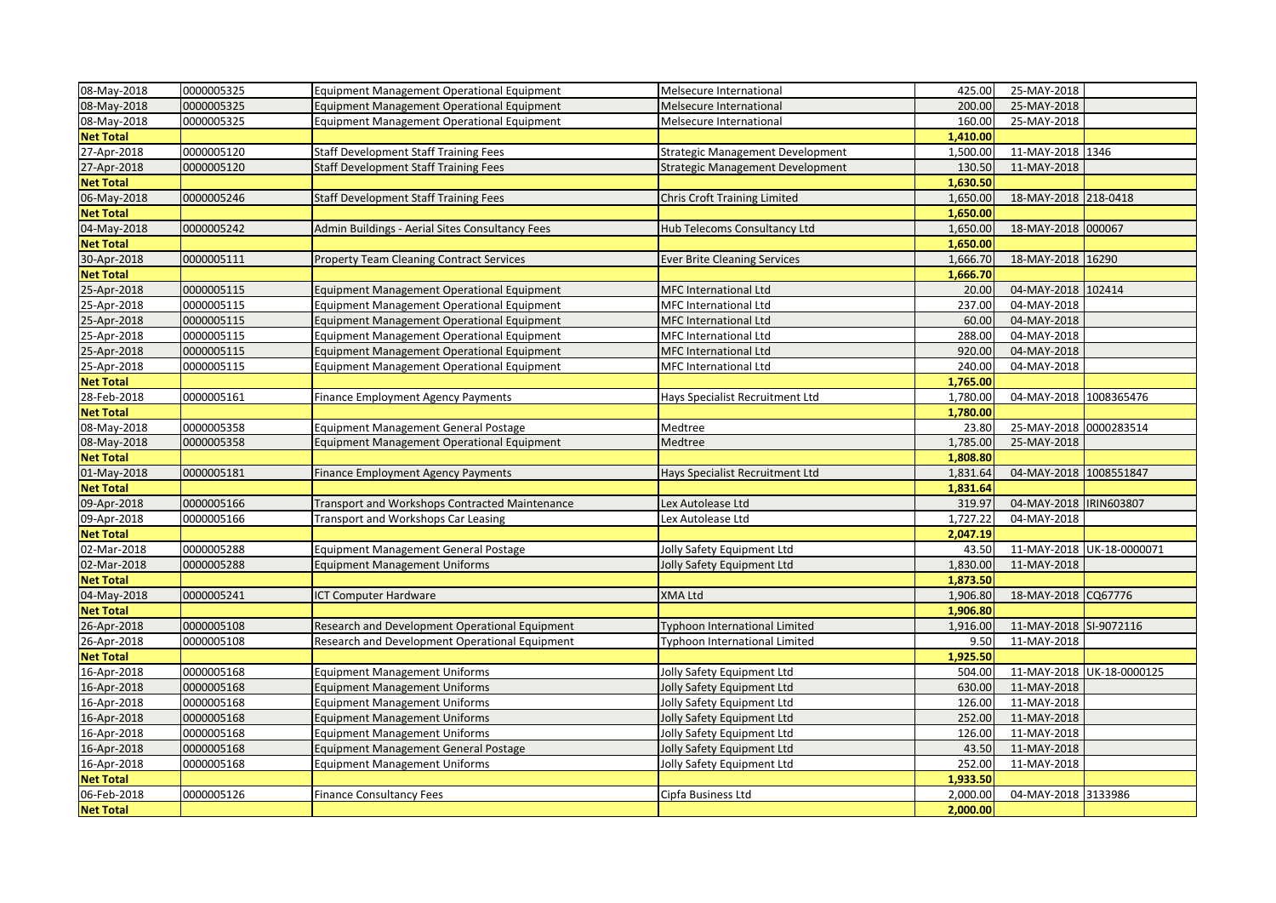| 08-May-2018      | 0000005325 | Equipment Management Operational Equipment        | Melsecure International                 | 425.00   | 25-MAY-2018            |                           |
|------------------|------------|---------------------------------------------------|-----------------------------------------|----------|------------------------|---------------------------|
| 08-May-2018      | 0000005325 | <b>Equipment Management Operational Equipment</b> | Melsecure International                 | 200.00   | 25-MAY-2018            |                           |
| 08-May-2018      | 0000005325 | <b>Equipment Management Operational Equipment</b> | Melsecure International                 | 160.00   | 25-MAY-2018            |                           |
| <b>Net Total</b> |            |                                                   |                                         | 1,410.00 |                        |                           |
| 27-Apr-2018      | 0000005120 | <b>Staff Development Staff Training Fees</b>      | <b>Strategic Management Development</b> | 1,500.00 | 11-MAY-2018 1346       |                           |
| 27-Apr-2018      | 0000005120 | <b>Staff Development Staff Training Fees</b>      | <b>Strategic Management Development</b> | 130.50   | 11-MAY-2018            |                           |
| <b>Net Total</b> |            |                                                   |                                         | 1,630.50 |                        |                           |
| 06-May-2018      | 0000005246 | <b>Staff Development Staff Training Fees</b>      | <b>Chris Croft Training Limited</b>     | 1,650.00 | 18-MAY-2018 218-0418   |                           |
| <b>Net Total</b> |            |                                                   |                                         | 1,650.00 |                        |                           |
| 04-May-2018      | 0000005242 | Admin Buildings - Aerial Sites Consultancy Fees   | Hub Telecoms Consultancy Ltd            | 1,650.00 | 18-MAY-2018 000067     |                           |
| <b>Net Total</b> |            |                                                   |                                         | 1,650.00 |                        |                           |
| 30-Apr-2018      | 0000005111 | <b>Property Team Cleaning Contract Services</b>   | <b>Ever Brite Cleaning Services</b>     | 1,666.70 | 18-MAY-2018 16290      |                           |
| <b>Net Total</b> |            |                                                   |                                         | 1,666.70 |                        |                           |
| 25-Apr-2018      | 0000005115 | <b>Equipment Management Operational Equipment</b> | <b>MFC International Ltd</b>            | 20.00    | 04-MAY-2018 102414     |                           |
| 25-Apr-2018      | 0000005115 | <b>Equipment Management Operational Equipment</b> | MFC International Ltd                   | 237.00   | 04-MAY-2018            |                           |
| 25-Apr-2018      | 0000005115 | <b>Equipment Management Operational Equipment</b> | <b>MFC International Ltd</b>            | 60.00    | 04-MAY-2018            |                           |
| 25-Apr-2018      | 0000005115 | <b>Equipment Management Operational Equipment</b> | <b>MFC International Ltd</b>            | 288.00   | 04-MAY-2018            |                           |
| 25-Apr-2018      | 0000005115 | <b>Equipment Management Operational Equipment</b> | <b>MFC International Ltd</b>            | 920.00   | 04-MAY-2018            |                           |
| 25-Apr-2018      | 0000005115 | Equipment Management Operational Equipment        | MFC International Ltd                   | 240.00   | 04-MAY-2018            |                           |
| <b>Net Total</b> |            |                                                   |                                         | 1,765.00 |                        |                           |
| 28-Feb-2018      | 0000005161 | <b>Finance Employment Agency Payments</b>         | Hays Specialist Recruitment Ltd         | 1,780.00 | 04-MAY-2018 1008365476 |                           |
| <b>Net Total</b> |            |                                                   |                                         | 1,780.00 |                        |                           |
| 08-May-2018      | 0000005358 | <b>Equipment Management General Postage</b>       | Medtree                                 | 23.80    | 25-MAY-2018            | 0000283514                |
| 08-May-2018      | 0000005358 | <b>Equipment Management Operational Equipment</b> | Medtree                                 | 1,785.00 | 25-MAY-2018            |                           |
| <b>Net Total</b> |            |                                                   |                                         | 1,808.80 |                        |                           |
| 01-May-2018      | 0000005181 | <b>Finance Employment Agency Payments</b>         | Hays Specialist Recruitment Ltd         | 1,831.64 | 04-MAY-2018 1008551847 |                           |
| <b>Net Total</b> |            |                                                   |                                         | 1,831.64 |                        |                           |
| 09-Apr-2018      | 0000005166 | Transport and Workshops Contracted Maintenance    | Lex Autolease Ltd                       | 319.97   | 04-MAY-2018            | IRIN603807                |
| 09-Apr-2018      | 0000005166 | Transport and Workshops Car Leasing               | Lex Autolease Ltd                       | 1,727.22 | 04-MAY-2018            |                           |
| <b>Net Total</b> |            |                                                   |                                         | 2,047.19 |                        |                           |
| 02-Mar-2018      | 0000005288 | <b>Equipment Management General Postage</b>       | Jolly Safety Equipment Ltd              | 43.50    |                        | 11-MAY-2018 UK-18-0000071 |
| 02-Mar-2018      | 0000005288 | <b>Equipment Management Uniforms</b>              | Jolly Safety Equipment Ltd              | 1,830.00 | 11-MAY-2018            |                           |
| <b>Net Total</b> |            |                                                   |                                         | 1,873.50 |                        |                           |
| 04-May-2018      | 0000005241 | <b>ICT Computer Hardware</b>                      | <b>XMA Ltd</b>                          | 1,906.80 | 18-MAY-2018 CQ67776    |                           |
| <b>Net Total</b> |            |                                                   |                                         | 1,906.80 |                        |                           |
| 26-Apr-2018      | 0000005108 | Research and Development Operational Equipment    | Typhoon International Limited           | 1,916.00 | 11-MAY-2018 SI-9072116 |                           |
| 26-Apr-2018      | 0000005108 | Research and Development Operational Equipment    | Typhoon International Limited           | 9.50     | 11-MAY-2018            |                           |
| <b>Net Total</b> |            |                                                   |                                         | 1,925.50 |                        |                           |
| 16-Apr-2018      | 0000005168 | <b>Equipment Management Uniforms</b>              | Jolly Safety Equipment Ltd              | 504.00   |                        | 11-MAY-2018 UK-18-0000125 |
| 16-Apr-2018      | 0000005168 | <b>Equipment Management Uniforms</b>              | Jolly Safety Equipment Ltd              | 630.00   | 11-MAY-2018            |                           |
| 16-Apr-2018      | 0000005168 | <b>Equipment Management Uniforms</b>              | Jolly Safety Equipment Ltd              | 126.00   | 11-MAY-2018            |                           |
| 16-Apr-2018      | 0000005168 | <b>Equipment Management Uniforms</b>              | Jolly Safety Equipment Ltd              | 252.00   | 11-MAY-2018            |                           |
| 16-Apr-2018      | 0000005168 | <b>Equipment Management Uniforms</b>              | Jolly Safety Equipment Ltd              | 126.00   | 11-MAY-2018            |                           |
| 16-Apr-2018      | 0000005168 | <b>Equipment Management General Postage</b>       | Jolly Safety Equipment Ltd              | 43.50    | 11-MAY-2018            |                           |
| 16-Apr-2018      | 0000005168 | <b>Equipment Management Uniforms</b>              | Jolly Safety Equipment Ltd              | 252.00   | 11-MAY-2018            |                           |
| <b>Net Total</b> |            |                                                   |                                         | 1,933.50 |                        |                           |
| 06-Feb-2018      | 0000005126 | <b>Finance Consultancy Fees</b>                   | Cipfa Business Ltd                      | 2,000.00 | 04-MAY-2018            | 3133986                   |
| <b>Net Total</b> |            |                                                   |                                         | 2,000.00 |                        |                           |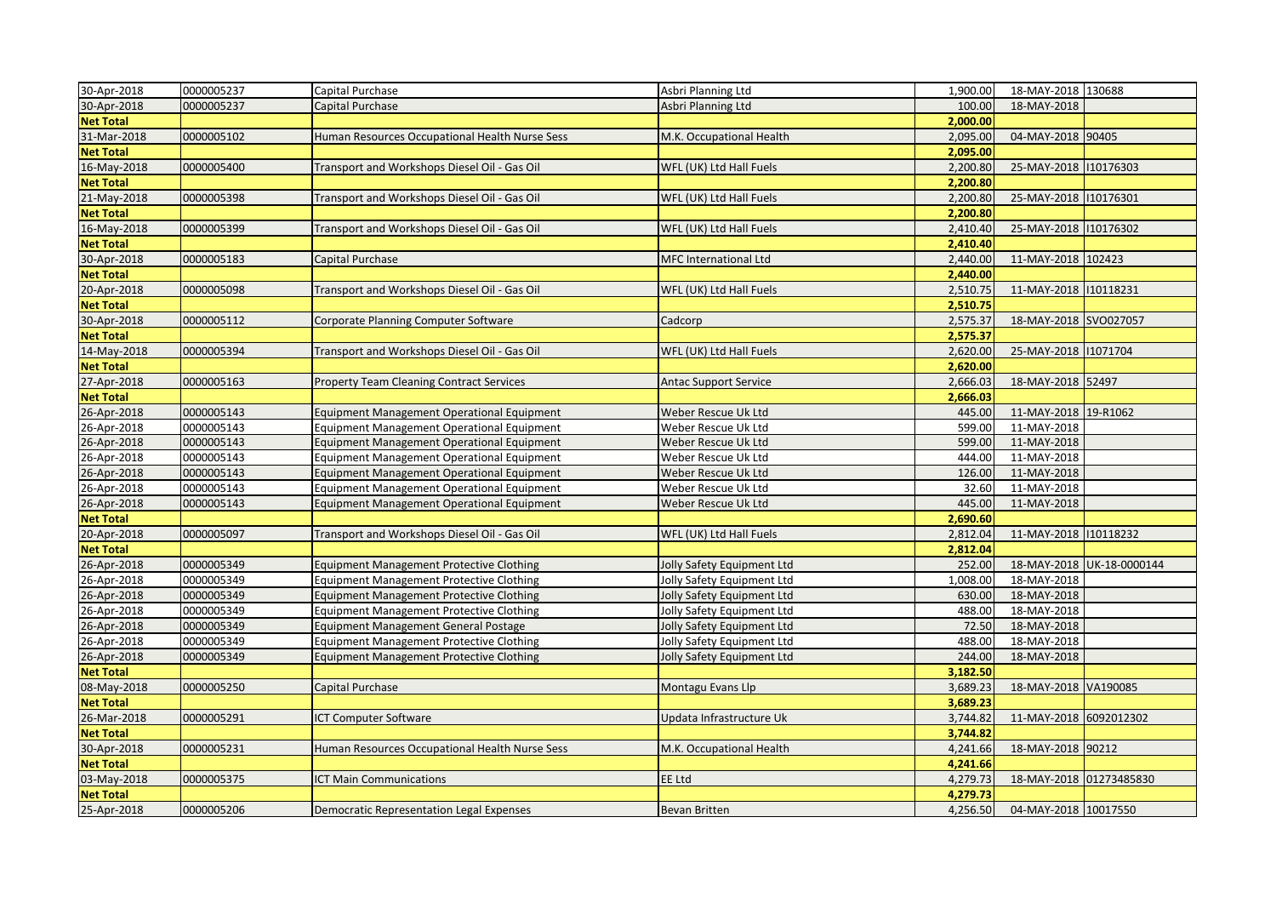| 30-Apr-2018      | 0000005237 | Capital Purchase                                  | Asbri Planning Ltd           | 1,900.00 | 18-MAY-2018 130688      |                           |
|------------------|------------|---------------------------------------------------|------------------------------|----------|-------------------------|---------------------------|
| 30-Apr-2018      | 0000005237 | Capital Purchase                                  | Asbri Planning Ltd           | 100.00   | 18-MAY-2018             |                           |
| <b>Net Total</b> |            |                                                   |                              | 2,000.00 |                         |                           |
| 31-Mar-2018      | 0000005102 | Human Resources Occupational Health Nurse Sess    | M.K. Occupational Health     | 2,095.00 | 04-MAY-2018 90405       |                           |
| <b>Net Total</b> |            |                                                   |                              | 2,095.00 |                         |                           |
| 16-May-2018      | 0000005400 | Transport and Workshops Diesel Oil - Gas Oil      | WFL (UK) Ltd Hall Fuels      | 2,200.80 | 25-MAY-2018             | 110176303                 |
| <b>Net Total</b> |            |                                                   |                              | 2,200.80 |                         |                           |
| 21-May-2018      | 0000005398 | Transport and Workshops Diesel Oil - Gas Oil      | WFL (UK) Ltd Hall Fuels      | 2,200.80 | 25-MAY-2018 10176301    |                           |
| <b>Net Total</b> |            |                                                   |                              | 2,200.80 |                         |                           |
| 16-May-2018      | 0000005399 | Transport and Workshops Diesel Oil - Gas Oil      | WFL (UK) Ltd Hall Fuels      | 2,410.40 | 25-MAY-2018             | 110176302                 |
| <b>Net Total</b> |            |                                                   |                              | 2,410.40 |                         |                           |
| 30-Apr-2018      | 0000005183 | Capital Purchase                                  | MFC International Ltd        | 2,440.00 | 11-MAY-2018 102423      |                           |
| <b>Net Total</b> |            |                                                   |                              | 2,440.00 |                         |                           |
| 20-Apr-2018      | 0000005098 | Fransport and Workshops Diesel Oil - Gas Oil      | WFL (UK) Ltd Hall Fuels      | 2,510.75 | 11-MAY-2018 110118231   |                           |
| <b>Net Total</b> |            |                                                   |                              | 2,510.75 |                         |                           |
| 30-Apr-2018      | 0000005112 | Corporate Planning Computer Software              | Cadcorp                      | 2,575.37 | 18-MAY-2018 SVO027057   |                           |
| <b>Net Total</b> |            |                                                   |                              | 2,575.37 |                         |                           |
| 14-May-2018      | 0000005394 | Transport and Workshops Diesel Oil - Gas Oil      | WFL (UK) Ltd Hall Fuels      | 2,620.00 | 25-MAY-2018 11071704    |                           |
| <b>Net Total</b> |            |                                                   |                              | 2,620.00 |                         |                           |
| 27-Apr-2018      | 0000005163 | <b>Property Team Cleaning Contract Services</b>   | <b>Antac Support Service</b> | 2,666.03 | 18-MAY-2018 52497       |                           |
| <b>Net Total</b> |            |                                                   |                              | 2,666.03 |                         |                           |
| 26-Apr-2018      | 0000005143 | <b>Equipment Management Operational Equipment</b> | Weber Rescue Uk Ltd          | 445.00   | 11-MAY-2018             | 19-R1062                  |
| 26-Apr-2018      | 0000005143 | <b>Equipment Management Operational Equipment</b> | Weber Rescue Uk Ltd          | 599.00   | 11-MAY-2018             |                           |
| 26-Apr-2018      | 0000005143 | <b>Equipment Management Operational Equipment</b> | Weber Rescue Uk Ltd          | 599.00   | 11-MAY-2018             |                           |
| 26-Apr-2018      | 0000005143 | <b>Equipment Management Operational Equipment</b> | Weber Rescue Uk Ltd          | 444.00   | 11-MAY-2018             |                           |
| 26-Apr-2018      | 0000005143 | <b>Equipment Management Operational Equipment</b> | Weber Rescue Uk Ltd          | 126.00   | 11-MAY-2018             |                           |
| 26-Apr-2018      | 0000005143 | <b>Equipment Management Operational Equipment</b> | Weber Rescue Uk Ltd          | 32.60    | 11-MAY-2018             |                           |
| 26-Apr-2018      | 0000005143 | <b>Equipment Management Operational Equipment</b> | Weber Rescue Uk Ltd          | 445.00   | 11-MAY-2018             |                           |
| <b>Net Total</b> |            |                                                   |                              | 2,690.60 |                         |                           |
| 20-Apr-2018      | 0000005097 | Transport and Workshops Diesel Oil - Gas Oil      | WFL (UK) Ltd Hall Fuels      | 2,812.04 | 11-MAY-2018 110118232   |                           |
| <b>Net Total</b> |            |                                                   |                              | 2,812.04 |                         |                           |
| 26-Apr-2018      | 0000005349 | <b>Equipment Management Protective Clothing</b>   | Jolly Safety Equipment Ltd   | 252.00   |                         | 18-MAY-2018 UK-18-0000144 |
| 26-Apr-2018      | 0000005349 | <b>Equipment Management Protective Clothing</b>   | Jolly Safety Equipment Ltd   | 1,008.00 | 18-MAY-2018             |                           |
| 26-Apr-2018      | 0000005349 | <b>Equipment Management Protective Clothing</b>   | Jolly Safety Equipment Ltd   | 630.00   | 18-MAY-2018             |                           |
| 26-Apr-2018      | 0000005349 | <b>Equipment Management Protective Clothing</b>   | Jolly Safety Equipment Ltd   | 488.00   | 18-MAY-2018             |                           |
| 26-Apr-2018      | 0000005349 | <b>Equipment Management General Postage</b>       | Jolly Safety Equipment Ltd   | 72.50    | 18-MAY-2018             |                           |
| 26-Apr-2018      | 0000005349 | <b>Equipment Management Protective Clothing</b>   | Jolly Safety Equipment Ltd   | 488.00   | 18-MAY-2018             |                           |
| 26-Apr-2018      | 0000005349 | <b>Equipment Management Protective Clothing</b>   | Jolly Safety Equipment Ltd   | 244.00   | 18-MAY-2018             |                           |
| <b>Net Total</b> |            |                                                   |                              | 3,182.50 |                         |                           |
| 08-May-2018      | 0000005250 | Capital Purchase                                  | Montagu Evans Llp            | 3,689.23 | 18-MAY-2018 VA190085    |                           |
| <b>Net Total</b> |            |                                                   |                              | 3,689.23 |                         |                           |
| 26-Mar-2018      | 0000005291 | <b>ICT Computer Software</b>                      | Updata Infrastructure Uk     | 3,744.82 | 11-MAY-2018 6092012302  |                           |
| <b>Net Total</b> |            |                                                   |                              | 3,744.82 |                         |                           |
| 30-Apr-2018      | 0000005231 | Human Resources Occupational Health Nurse Sess    | M.K. Occupational Health     | 4,241.66 | 18-MAY-2018 90212       |                           |
| <b>Net Total</b> |            |                                                   |                              | 4,241.66 |                         |                           |
| 03-May-2018      | 0000005375 | <b>ICT Main Communications</b>                    | <b>EE Ltd</b>                | 4,279.73 | 18-MAY-2018 01273485830 |                           |
| <b>Net Total</b> |            |                                                   |                              | 4,279.73 |                         |                           |
| 25-Apr-2018      | 0000005206 | Democratic Representation Legal Expenses          | <b>Bevan Britten</b>         | 4,256.50 | 04-MAY-2018 10017550    |                           |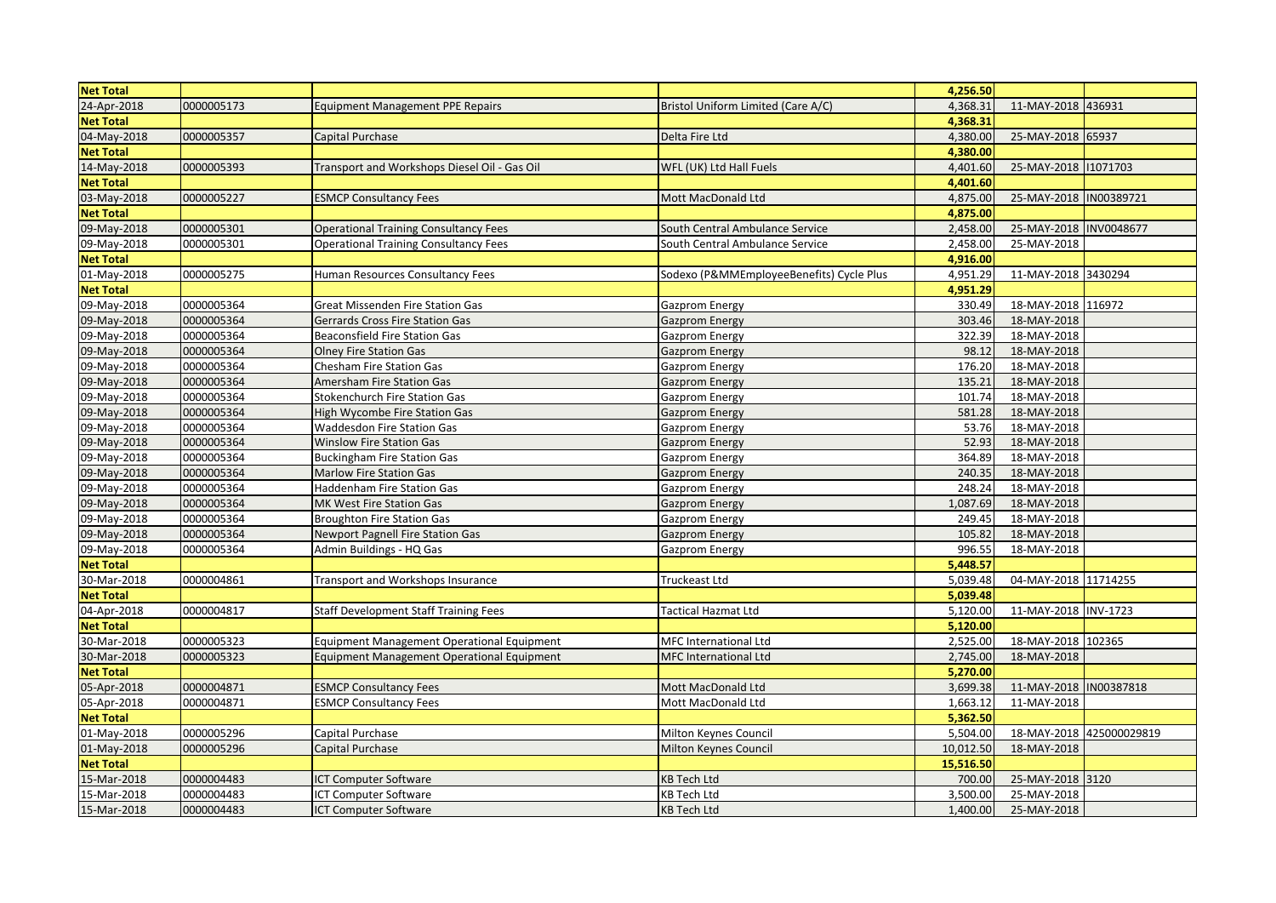| <b>Net Total</b> |            |                                                   |                                          | 4,256.50  |                         |              |
|------------------|------------|---------------------------------------------------|------------------------------------------|-----------|-------------------------|--------------|
| 24-Apr-2018      | 0000005173 | <b>Equipment Management PPE Repairs</b>           | Bristol Uniform Limited (Care A/C)       | 4,368.31  | 11-MAY-2018             | 436931       |
| <b>Net Total</b> |            |                                                   |                                          | 4,368.31  |                         |              |
| 04-May-2018      | 0000005357 | Capital Purchase                                  | Delta Fire Ltd                           | 4,380.00  | 25-MAY-2018             | 65937        |
| <b>Net Total</b> |            |                                                   |                                          | 4,380.00  |                         |              |
| 14-May-2018      | 0000005393 | Transport and Workshops Diesel Oil - Gas Oil      | WFL (UK) Ltd Hall Fuels                  | 4,401.60  | 25-MAY-2018 11071703    |              |
| <b>Net Total</b> |            |                                                   |                                          | 4,401.60  |                         |              |
| 03-May-2018      | 0000005227 | <b>ESMCP Consultancy Fees</b>                     | Mott MacDonald Ltd                       | 4,875.00  | 25-MAY-2018  IN00389721 |              |
| <b>Net Total</b> |            |                                                   |                                          | 4,875.00  |                         |              |
| 09-May-2018      | 0000005301 | <b>Operational Training Consultancy Fees</b>      | South Central Ambulance Service          | 2,458.00  | 25-MAY-2018             | INV0048677   |
| 09-May-2018      | 0000005301 | <b>Operational Training Consultancy Fees</b>      | South Central Ambulance Service          | 2,458.00  | 25-MAY-2018             |              |
| <b>Net Total</b> |            |                                                   |                                          | 4,916.00  |                         |              |
| 01-May-2018      | 0000005275 | Human Resources Consultancy Fees                  | Sodexo (P&MMEmployeeBenefits) Cycle Plus | 4,951.29  | 11-MAY-2018 3430294     |              |
| <b>Net Total</b> |            |                                                   |                                          | 4,951.29  |                         |              |
| 09-May-2018      | 0000005364 | <b>Great Missenden Fire Station Gas</b>           | <b>Gazprom Energy</b>                    | 330.49    | 18-MAY-2018             | 116972       |
| 09-May-2018      | 0000005364 | <b>Gerrards Cross Fire Station Gas</b>            | <b>Gazprom Energy</b>                    | 303.46    | 18-MAY-2018             |              |
| 09-May-2018      | 0000005364 | <b>Beaconsfield Fire Station Gas</b>              | Gazprom Energy                           | 322.39    | 18-MAY-2018             |              |
| 09-May-2018      | 0000005364 | <b>Olney Fire Station Gas</b>                     | <b>Gazprom Energy</b>                    | 98.12     | 18-MAY-2018             |              |
| 09-May-2018      | 0000005364 | <b>Chesham Fire Station Gas</b>                   | <b>Gazprom Energy</b>                    | 176.20    | 18-MAY-2018             |              |
| 09-May-2018      | 0000005364 | Amersham Fire Station Gas                         | <b>Gazprom Energy</b>                    | 135.21    | 18-MAY-2018             |              |
| 09-May-2018      | 0000005364 | <b>Stokenchurch Fire Station Gas</b>              | <b>Gazprom Energy</b>                    | 101.74    | 18-MAY-2018             |              |
| 09-May-2018      | 0000005364 | High Wycombe Fire Station Gas                     | <b>Gazprom Energy</b>                    | 581.28    | 18-MAY-2018             |              |
| 09-May-2018      | 0000005364 | <b>Waddesdon Fire Station Gas</b>                 | <b>Gazprom Energy</b>                    | 53.76     | 18-MAY-2018             |              |
| 09-May-2018      | 0000005364 | <b>Winslow Fire Station Gas</b>                   | <b>Gazprom Energy</b>                    | 52.93     | 18-MAY-2018             |              |
| 09-May-2018      | 0000005364 | <b>Buckingham Fire Station Gas</b>                | Gazprom Energy                           | 364.89    | 18-MAY-2018             |              |
| 09-May-2018      | 0000005364 | <b>Marlow Fire Station Gas</b>                    | <b>Gazprom Energy</b>                    | 240.35    | 18-MAY-2018             |              |
| 09-May-2018      | 0000005364 | <b>Haddenham Fire Station Gas</b>                 | Gazprom Energy                           | 248.24    | 18-MAY-2018             |              |
| 09-May-2018      | 0000005364 | MK West Fire Station Gas                          | <b>Gazprom Energy</b>                    | 1,087.69  | 18-MAY-2018             |              |
| 09-May-2018      | 0000005364 | <b>Broughton Fire Station Gas</b>                 | <b>Gazprom Energy</b>                    | 249.45    | 18-MAY-2018             |              |
| 09-May-2018      | 0000005364 | <b>Newport Pagnell Fire Station Gas</b>           | <b>Gazprom Energy</b>                    | 105.82    | 18-MAY-2018             |              |
| 09-May-2018      | 0000005364 | Admin Buildings - HQ Gas                          | Gazprom Energy                           | 996.55    | 18-MAY-2018             |              |
| <b>Net Total</b> |            |                                                   |                                          | 5,448.57  |                         |              |
| 30-Mar-2018      | 0000004861 | Transport and Workshops Insurance                 | <b>Truckeast Ltd</b>                     | 5,039.48  | 04-MAY-2018 11714255    |              |
| <b>Net Total</b> |            |                                                   |                                          | 5,039.48  |                         |              |
| 04-Apr-2018      | 0000004817 | <b>Staff Development Staff Training Fees</b>      | Tactical Hazmat Ltd                      | 5,120.00  | 11-MAY-2018 INV-1723    |              |
| <b>Net Total</b> |            |                                                   |                                          | 5,120.00  |                         |              |
| 30-Mar-2018      | 0000005323 | <b>Equipment Management Operational Equipment</b> | <b>MFC International Ltd</b>             | 2,525.00  | 18-MAY-2018             | 102365       |
| 30-Mar-2018      | 0000005323 | <b>Equipment Management Operational Equipment</b> | MFC International Ltd                    | 2,745.00  | 18-MAY-2018             |              |
| <b>Net Total</b> |            |                                                   |                                          | 5,270.00  |                         |              |
| 05-Apr-2018      | 0000004871 | <b>ESMCP Consultancy Fees</b>                     | Mott MacDonald Ltd                       | 3,699.38  | 11-MAY-2018             | IN00387818   |
| 05-Apr-2018      | 0000004871 | <b>ESMCP Consultancy Fees</b>                     | Mott MacDonald Ltd                       | 1,663.12  | 11-MAY-2018             |              |
| <b>Net Total</b> |            |                                                   |                                          | 5,362.50  |                         |              |
| 01-May-2018      | 0000005296 | Capital Purchase                                  | Milton Keynes Council                    | 5,504.00  | 18-MAY-2018             | 425000029819 |
| 01-May-2018      | 0000005296 | Capital Purchase                                  | Milton Keynes Council                    | 10,012.50 | 18-MAY-2018             |              |
| <b>Net Total</b> |            |                                                   |                                          | 15,516.50 |                         |              |
| 15-Mar-2018      | 0000004483 | <b>ICT Computer Software</b>                      | <b>KB Tech Ltd</b>                       | 700.00    | 25-MAY-2018             | 3120         |
| 15-Mar-2018      | 0000004483 | <b>ICT Computer Software</b>                      | <b>KB Tech Ltd</b>                       | 3,500.00  | 25-MAY-2018             |              |
| 15-Mar-2018      | 0000004483 | <b>ICT Computer Software</b>                      | <b>KB Tech Ltd</b>                       | 1,400.00  | 25-MAY-2018             |              |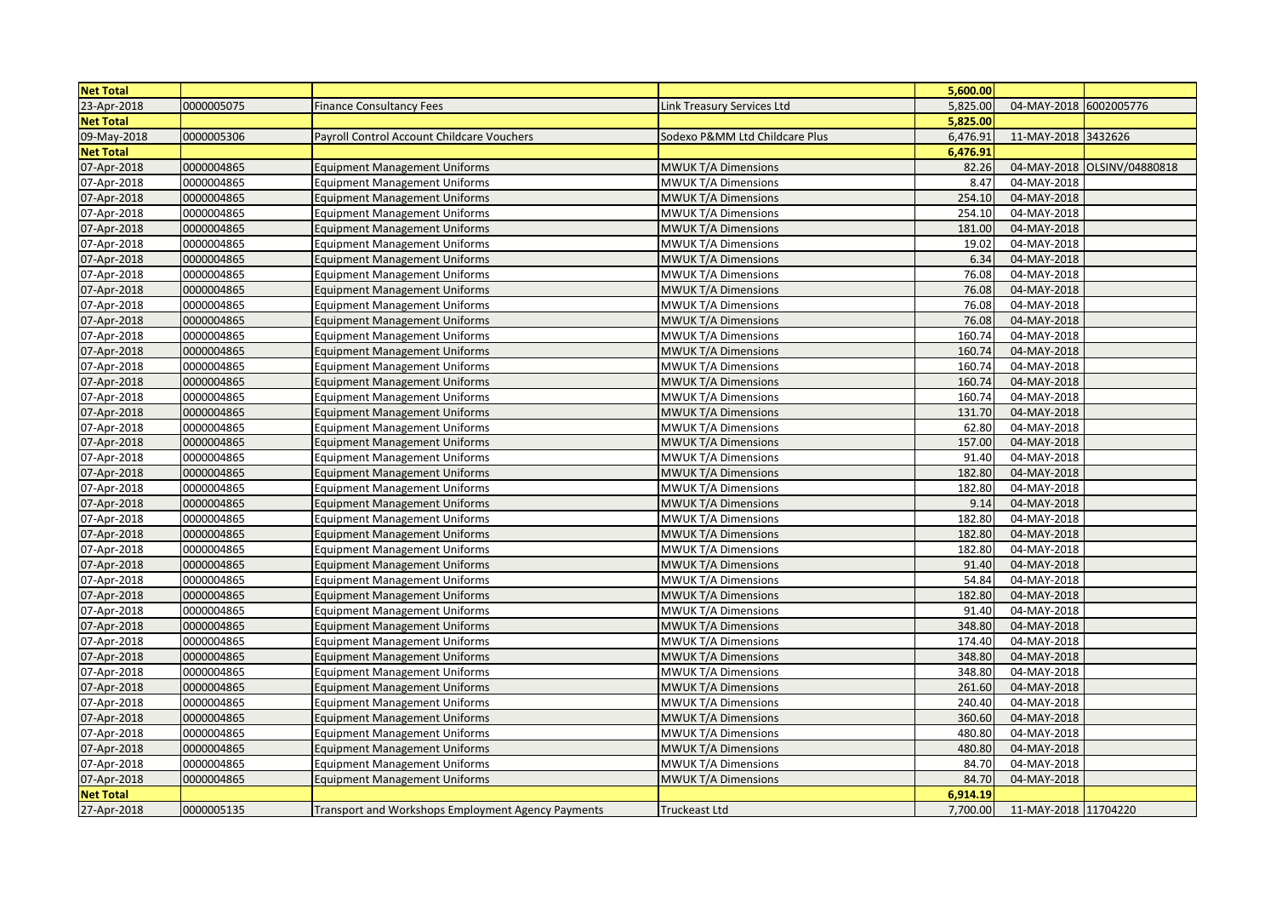| <b>Net Total</b> |            |                                                    |                                | 5,600.00 |                        |                 |
|------------------|------------|----------------------------------------------------|--------------------------------|----------|------------------------|-----------------|
| 23-Apr-2018      | 0000005075 | <b>Finance Consultancy Fees</b>                    | Link Treasury Services Ltd     | 5,825.00 | 04-MAY-2018 6002005776 |                 |
| <b>Net Total</b> |            |                                                    |                                | 5,825.00 |                        |                 |
| 09-May-2018      | 0000005306 | Payroll Control Account Childcare Vouchers         | Sodexo P&MM Ltd Childcare Plus | 6,476.91 | 11-MAY-2018 3432626    |                 |
| <b>Net Total</b> |            |                                                    |                                | 6,476.91 |                        |                 |
| 07-Apr-2018      | 0000004865 | <b>Equipment Management Uniforms</b>               | <b>MWUK T/A Dimensions</b>     | 82.26    | 04-MAY-2018            | OLSINV/04880818 |
| 07-Apr-2018      | 0000004865 | <b>Equipment Management Uniforms</b>               | <b>MWUK T/A Dimensions</b>     | 8.47     | 04-MAY-2018            |                 |
| 07-Apr-2018      | 0000004865 | <b>Equipment Management Uniforms</b>               | <b>MWUK T/A Dimensions</b>     | 254.10   | 04-MAY-2018            |                 |
| 07-Apr-2018      | 0000004865 | <b>Equipment Management Uniforms</b>               | <b>MWUK T/A Dimensions</b>     | 254.10   | 04-MAY-2018            |                 |
| 07-Apr-2018      | 0000004865 | <b>Equipment Management Uniforms</b>               | <b>MWUK T/A Dimensions</b>     | 181.00   | 04-MAY-2018            |                 |
| 07-Apr-2018      | 0000004865 | <b>Equipment Management Uniforms</b>               | <b>MWUK T/A Dimensions</b>     | 19.02    | 04-MAY-2018            |                 |
| 07-Apr-2018      | 0000004865 | <b>Equipment Management Uniforms</b>               | <b>MWUK T/A Dimensions</b>     | 6.34     | 04-MAY-2018            |                 |
| 07-Apr-2018      | 0000004865 | <b>Equipment Management Uniforms</b>               | <b>MWUK T/A Dimensions</b>     | 76.08    | 04-MAY-2018            |                 |
| 07-Apr-2018      | 0000004865 | <b>Equipment Management Uniforms</b>               | <b>MWUK T/A Dimensions</b>     | 76.08    | 04-MAY-2018            |                 |
| 07-Apr-2018      | 0000004865 | Equipment Management Uniforms                      | <b>MWUK T/A Dimensions</b>     | 76.08    | 04-MAY-2018            |                 |
| 07-Apr-2018      | 0000004865 | <b>Equipment Management Uniforms</b>               | <b>MWUK T/A Dimensions</b>     | 76.08    | 04-MAY-2018            |                 |
| 07-Apr-2018      | 0000004865 | <b>Equipment Management Uniforms</b>               | <b>MWUK T/A Dimensions</b>     | 160.74   | 04-MAY-2018            |                 |
| 07-Apr-2018      | 0000004865 | <b>Equipment Management Uniforms</b>               | <b>MWUK T/A Dimensions</b>     | 160.74   | 04-MAY-2018            |                 |
| 07-Apr-2018      | 0000004865 | <b>Equipment Management Uniforms</b>               | <b>MWUK T/A Dimensions</b>     | 160.74   | 04-MAY-2018            |                 |
| 07-Apr-2018      | 0000004865 | <b>Equipment Management Uniforms</b>               | <b>MWUK T/A Dimensions</b>     | 160.74   | 04-MAY-2018            |                 |
| 07-Apr-2018      | 0000004865 | <b>Equipment Management Uniforms</b>               | <b>MWUK T/A Dimensions</b>     | 160.74   | 04-MAY-2018            |                 |
| 07-Apr-2018      | 0000004865 | <b>Equipment Management Uniforms</b>               | <b>MWUK T/A Dimensions</b>     | 131.70   | 04-MAY-2018            |                 |
| 07-Apr-2018      | 0000004865 | <b>Equipment Management Uniforms</b>               | <b>MWUK T/A Dimensions</b>     | 62.80    | 04-MAY-2018            |                 |
| 07-Apr-2018      | 0000004865 | <b>Equipment Management Uniforms</b>               | <b>MWUK T/A Dimensions</b>     | 157.00   | 04-MAY-2018            |                 |
| 07-Apr-2018      | 0000004865 | <b>Equipment Management Uniforms</b>               | <b>MWUK T/A Dimensions</b>     | 91.40    | 04-MAY-2018            |                 |
| 07-Apr-2018      | 0000004865 | <b>Equipment Management Uniforms</b>               | <b>MWUK T/A Dimensions</b>     | 182.80   | 04-MAY-2018            |                 |
| 07-Apr-2018      | 0000004865 | <b>Equipment Management Uniforms</b>               | <b>MWUK T/A Dimensions</b>     | 182.80   | 04-MAY-2018            |                 |
| 07-Apr-2018      | 0000004865 | <b>Equipment Management Uniforms</b>               | <b>MWUK T/A Dimensions</b>     | 9.14     | 04-MAY-2018            |                 |
| 07-Apr-2018      | 0000004865 | <b>Equipment Management Uniforms</b>               | <b>MWUK T/A Dimensions</b>     | 182.80   | 04-MAY-2018            |                 |
| 07-Apr-2018      | 0000004865 | <b>Equipment Management Uniforms</b>               | <b>MWUK T/A Dimensions</b>     | 182.80   | 04-MAY-2018            |                 |
| 07-Apr-2018      | 0000004865 | <b>Equipment Management Uniforms</b>               | <b>MWUK T/A Dimensions</b>     | 182.80   | 04-MAY-2018            |                 |
| 07-Apr-2018      | 0000004865 | <b>Equipment Management Uniforms</b>               | <b>MWUK T/A Dimensions</b>     | 91.40    | 04-MAY-2018            |                 |
| 07-Apr-2018      | 0000004865 | <b>Equipment Management Uniforms</b>               | <b>MWUK T/A Dimensions</b>     | 54.84    | 04-MAY-2018            |                 |
| 07-Apr-2018      | 0000004865 | <b>Equipment Management Uniforms</b>               | <b>MWUK T/A Dimensions</b>     | 182.80   | 04-MAY-2018            |                 |
| 07-Apr-2018      | 0000004865 | <b>Equipment Management Uniforms</b>               | <b>MWUK T/A Dimensions</b>     | 91.40    | 04-MAY-2018            |                 |
| 07-Apr-2018      | 0000004865 | <b>Equipment Management Uniforms</b>               | <b>MWUK T/A Dimensions</b>     | 348.80   | 04-MAY-2018            |                 |
| 07-Apr-2018      | 0000004865 | <b>Equipment Management Uniforms</b>               | <b>MWUK T/A Dimensions</b>     | 174.40   | 04-MAY-2018            |                 |
| 07-Apr-2018      | 0000004865 | <b>Equipment Management Uniforms</b>               | <b>MWUK T/A Dimensions</b>     | 348.80   | 04-MAY-2018            |                 |
| 07-Apr-2018      | 0000004865 | <b>Equipment Management Uniforms</b>               | <b>MWUK T/A Dimensions</b>     | 348.80   | 04-MAY-2018            |                 |
| 07-Apr-2018      | 0000004865 | <b>Equipment Management Uniforms</b>               | <b>MWUK T/A Dimensions</b>     | 261.60   | 04-MAY-2018            |                 |
| 07-Apr-2018      | 0000004865 | <b>Equipment Management Uniforms</b>               | <b>MWUK T/A Dimensions</b>     | 240.40   | 04-MAY-2018            |                 |
| 07-Apr-2018      | 0000004865 | <b>Equipment Management Uniforms</b>               | <b>MWUK T/A Dimensions</b>     | 360.60   | 04-MAY-2018            |                 |
| 07-Apr-2018      | 0000004865 | <b>Equipment Management Uniforms</b>               | <b>MWUK T/A Dimensions</b>     | 480.80   | 04-MAY-2018            |                 |
| 07-Apr-2018      | 0000004865 | <b>Equipment Management Uniforms</b>               | <b>MWUK T/A Dimensions</b>     | 480.80   | 04-MAY-2018            |                 |
| 07-Apr-2018      | 0000004865 | <b>Equipment Management Uniforms</b>               | MWUK T/A Dimensions            | 84.70    | 04-MAY-2018            |                 |
| 07-Apr-2018      | 0000004865 | <b>Equipment Management Uniforms</b>               | <b>MWUK T/A Dimensions</b>     | 84.70    | 04-MAY-2018            |                 |
| <b>Net Total</b> |            |                                                    |                                | 6,914.19 |                        |                 |
| 27-Apr-2018      | 0000005135 | Transport and Workshops Employment Agency Payments | <b>Truckeast Ltd</b>           | 7,700.00 | 11-MAY-2018 11704220   |                 |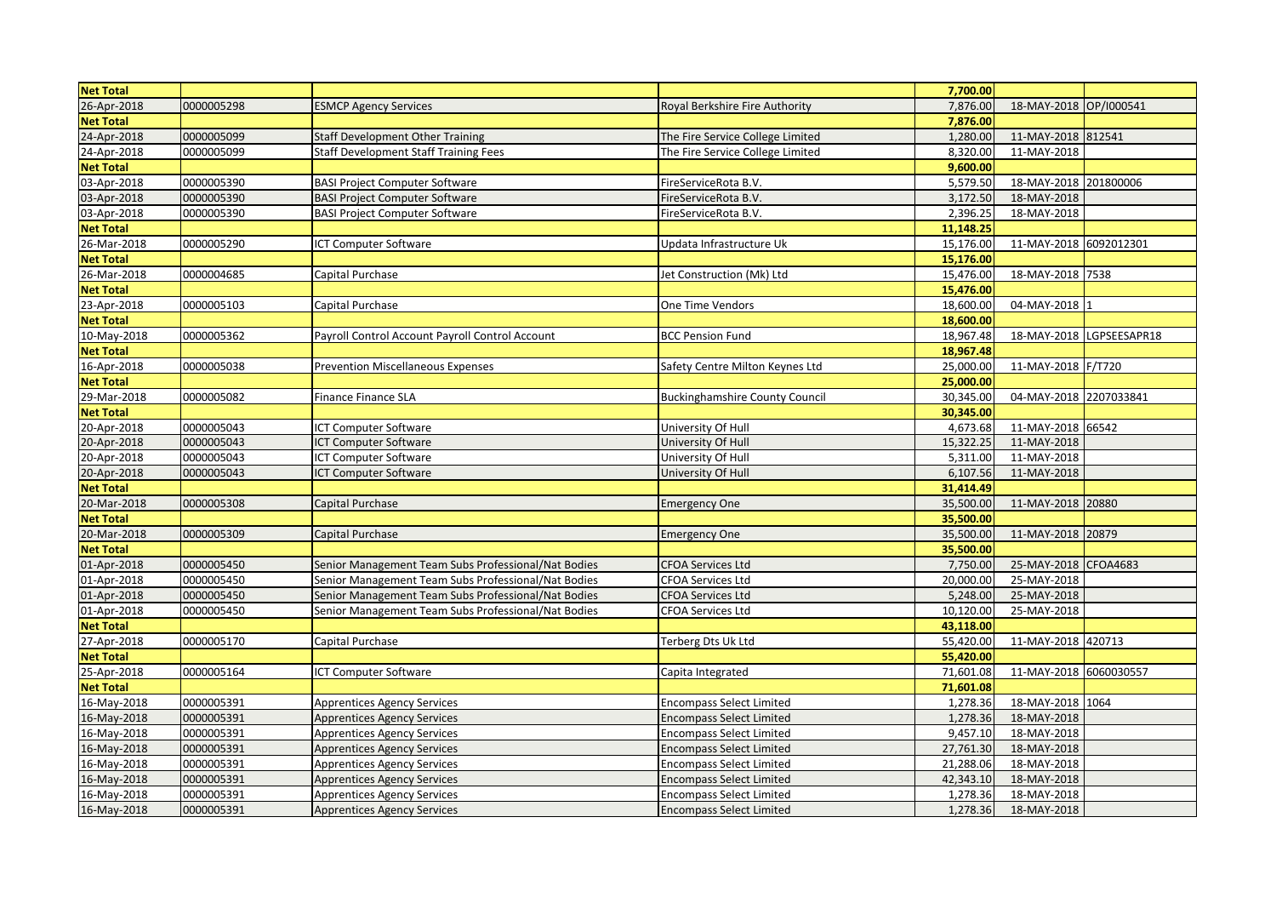| <b>Net Total</b> |            |                                                     |                                       | 7,700.00  |                        |                          |
|------------------|------------|-----------------------------------------------------|---------------------------------------|-----------|------------------------|--------------------------|
| 26-Apr-2018      | 0000005298 | <b>ESMCP Agency Services</b>                        | Royal Berkshire Fire Authority        | 7,876.00  | 18-MAY-2018            | OP/I000541               |
| <b>Net Total</b> |            |                                                     |                                       | 7,876.00  |                        |                          |
| 24-Apr-2018      | 0000005099 | <b>Staff Development Other Training</b>             | The Fire Service College Limited      | 1,280.00  | 11-MAY-2018 812541     |                          |
| 24-Apr-2018      | 0000005099 | <b>Staff Development Staff Training Fees</b>        | The Fire Service College Limited      | 8,320.00  | 11-MAY-2018            |                          |
| <b>Net Total</b> |            |                                                     |                                       | 9,600.00  |                        |                          |
| 03-Apr-2018      | 0000005390 | <b>BASI Project Computer Software</b>               | FireServiceRota B.V.                  | 5,579.50  | 18-MAY-2018            | 201800006                |
| 03-Apr-2018      | 0000005390 | <b>BASI Project Computer Software</b>               | FireServiceRota B.V.                  | 3,172.50  | 18-MAY-2018            |                          |
| 03-Apr-2018      | 0000005390 | <b>BASI Project Computer Software</b>               | FireServiceRota B.V.                  | 2,396.25  | 18-MAY-2018            |                          |
| <b>Net Total</b> |            |                                                     |                                       | 11,148.25 |                        |                          |
| 26-Mar-2018      | 0000005290 | <b>ICT Computer Software</b>                        | Updata Infrastructure Uk              | 15,176.00 | 11-MAY-2018 6092012301 |                          |
| <b>Net Total</b> |            |                                                     |                                       | 15,176.00 |                        |                          |
| 26-Mar-2018      | 0000004685 | Capital Purchase                                    | Jet Construction (Mk) Ltd             | 15,476.00 | 18-MAY-2018 7538       |                          |
| <b>Net Total</b> |            |                                                     |                                       | 15,476.00 |                        |                          |
| 23-Apr-2018      | 0000005103 | Capital Purchase                                    | <b>One Time Vendors</b>               | 18,600.00 | 04-MAY-2018            |                          |
| <b>Net Total</b> |            |                                                     |                                       | 18,600.00 |                        |                          |
| 10-May-2018      | 0000005362 | Payroll Control Account Payroll Control Account     | <b>BCC Pension Fund</b>               | 18,967.48 |                        | 18-MAY-2018 LGPSEESAPR18 |
| <b>Net Total</b> |            |                                                     |                                       | 18,967.48 |                        |                          |
| 16-Apr-2018      | 0000005038 | <b>Prevention Miscellaneous Expenses</b>            | Safety Centre Milton Keynes Ltd       | 25,000.00 | 11-MAY-2018 F/T720     |                          |
| <b>Net Total</b> |            |                                                     |                                       | 25,000.00 |                        |                          |
| 29-Mar-2018      | 0000005082 | Finance Finance SLA                                 | <b>Buckinghamshire County Council</b> | 30,345.00 | 04-MAY-2018 2207033841 |                          |
| <b>Net Total</b> |            |                                                     |                                       | 30,345.00 |                        |                          |
| 20-Apr-2018      | 0000005043 | <b>ICT Computer Software</b>                        | University Of Hull                    | 4,673.68  | 11-MAY-2018 66542      |                          |
| 20-Apr-2018      | 0000005043 | <b>ICT Computer Software</b>                        | University Of Hull                    | 15,322.25 | 11-MAY-2018            |                          |
| 20-Apr-2018      | 0000005043 | ICT Computer Software                               | University Of Hull                    | 5,311.00  | 11-MAY-2018            |                          |
| 20-Apr-2018      | 0000005043 | ICT Computer Software                               | University Of Hull                    | 6,107.56  | 11-MAY-2018            |                          |
| <b>Net Total</b> |            |                                                     |                                       | 31,414.49 |                        |                          |
| 20-Mar-2018      | 0000005308 | Capital Purchase                                    | <b>Emergency One</b>                  | 35,500.00 | 11-MAY-2018 20880      |                          |
| <b>Net Total</b> |            |                                                     |                                       | 35,500.00 |                        |                          |
| 20-Mar-2018      | 0000005309 | Capital Purchase                                    | <b>Emergency One</b>                  | 35,500.00 | 11-MAY-2018 20879      |                          |
| <b>Net Total</b> |            |                                                     |                                       | 35,500.00 |                        |                          |
| 01-Apr-2018      | 0000005450 | Senior Management Team Subs Professional/Nat Bodies | <b>CFOA Services Ltd</b>              | 7,750.00  | 25-MAY-2018 CFOA4683   |                          |
| 01-Apr-2018      | 0000005450 | Senior Management Team Subs Professional/Nat Bodies | <b>CFOA Services Ltd</b>              | 20,000.00 | 25-MAY-2018            |                          |
| 01-Apr-2018      | 0000005450 | Senior Management Team Subs Professional/Nat Bodies | <b>CFOA Services Ltd</b>              | 5,248.00  | 25-MAY-2018            |                          |
| 01-Apr-2018      | 0000005450 | Senior Management Team Subs Professional/Nat Bodies | <b>CFOA Services Ltd</b>              | 10,120.00 | 25-MAY-2018            |                          |
| <b>Net Total</b> |            |                                                     |                                       | 43,118.00 |                        |                          |
| 27-Apr-2018      | 0000005170 | Capital Purchase                                    | Terberg Dts Uk Ltd                    | 55,420.00 | 11-MAY-2018 420713     |                          |
| <b>Net Total</b> |            |                                                     |                                       | 55,420.00 |                        |                          |
| 25-Apr-2018      | 0000005164 | ICT Computer Software                               | Capita Integrated                     | 71,601.08 | 11-MAY-2018 6060030557 |                          |
| <b>Net Total</b> |            |                                                     |                                       | 71,601.08 |                        |                          |
| 16-May-2018      | 0000005391 | <b>Apprentices Agency Services</b>                  | <b>Encompass Select Limited</b>       | 1,278.36  | 18-MAY-2018 1064       |                          |
| 16-May-2018      | 0000005391 | <b>Apprentices Agency Services</b>                  | <b>Encompass Select Limited</b>       | 1,278.36  | 18-MAY-2018            |                          |
| 16-May-2018      | 0000005391 | <b>Apprentices Agency Services</b>                  | <b>Encompass Select Limited</b>       | 9,457.10  | 18-MAY-2018            |                          |
| 16-May-2018      | 0000005391 | <b>Apprentices Agency Services</b>                  | <b>Encompass Select Limited</b>       | 27,761.30 | 18-MAY-2018            |                          |
| 16-May-2018      | 0000005391 | <b>Apprentices Agency Services</b>                  | <b>Encompass Select Limited</b>       | 21,288.06 | 18-MAY-2018            |                          |
| 16-May-2018      | 0000005391 | <b>Apprentices Agency Services</b>                  | <b>Encompass Select Limited</b>       | 42,343.10 | 18-MAY-2018            |                          |
| 16-May-2018      | 0000005391 | <b>Apprentices Agency Services</b>                  | <b>Encompass Select Limited</b>       | 1,278.36  | 18-MAY-2018            |                          |
| 16-May-2018      | 0000005391 | <b>Apprentices Agency Services</b>                  | <b>Encompass Select Limited</b>       | 1,278.36  | 18-MAY-2018            |                          |